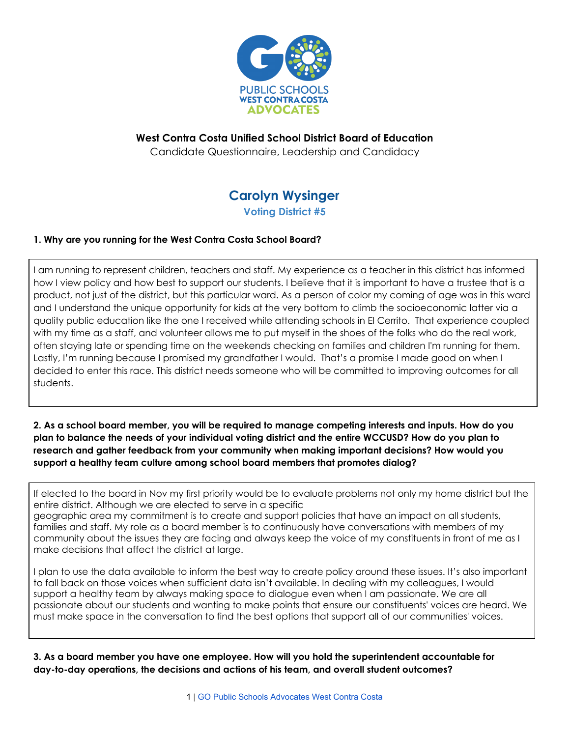

# **West Contra Costa Unified School District Board of Education**

Candidate Questionnaire, Leadership and Candidacy

## **Carolyn Wysinger Voting District #5**

### **1. Why are you running for the West Contra Costa School Board?**

I am running to represent children, teachers and staff. My experience as a teacher in this district has informed how I view policy and how best to support our students. I believe that it is important to have a trustee that is a product, not just of the district, but this particular ward. As a person of color my coming of age was in this ward and I understand the unique opportunity for kids at the very bottom to climb the socioeconomic latter via a quality public education like the one I received while attending schools in El Cerrito. That experience coupled with my time as a staff, and volunteer allows me to put myself in the shoes of the folks who do the real work, often staying late or spending time on the weekends checking on families and children I'm running for them. Lastly, I'm running because I promised my grandfather I would. That's a promise I made good on when I decided to enter this race. This district needs someone who will be committed to improving outcomes for all students.

### 2. As a school board member, you will be required to manage competing interests and inputs. How do you plan to balance the needs of your individual voting district and the entire WCCUSD? How do you plan to **research and gather feedback from your community when making important decisions? How would you support a healthy team culture among school board members that promotes dialog?**

If elected to the board in Nov my first priority would be to evaluate problems not only my home district but the entire district. Although we are elected to serve in a specific geographic area my commitment is to create and support policies that have an impact on all students, families and staff. My role as a board member is to continuously have conversations with members of my community about the issues they are facing and always keep the voice of my constituents in front of me as I make decisions that affect the district at large.

I plan to use the data available to inform the best way to create policy around these issues. It's also important to fall back on those voices when sufficient data isn't available. In dealing with my colleagues, I would support a healthy team by always making space to dialogue even when I am passionate. We are all passionate about our students and wanting to make points that ensure our constituents' voices are heard. We must make space in the conversation to find the best options that support all of our communities' voices.

**3. As a board member you have one employee. How will you hold the superintendent accountable for day-to-day operations, the decisions and actions of his team, and overall student outcomes?**